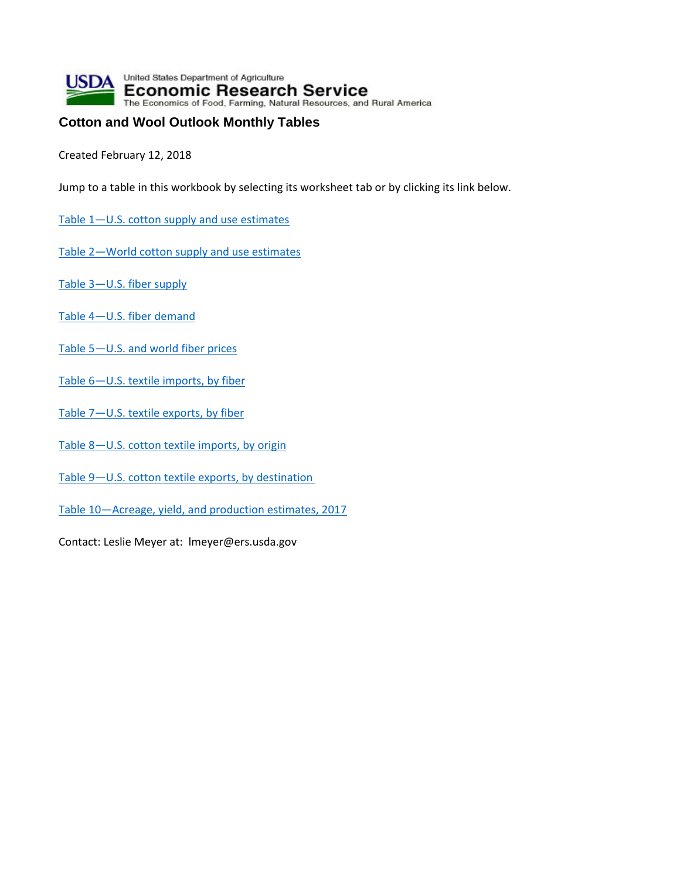

## **Cotton and Wool Outlook Monthly Tables**

Created February 12, 2018

Jump to a table in this workbook by selecting its worksheet tab or by clicking its link below.

- [Table 1—U.S. cotton supply and use estimates](#page-1-0)
- [Table 2—World cotton supply and use estimates](#page-2-0)
- [Table 3—U.S. fiber supply](#page-3-0)
- [Table 4—U.S. fiber demand](#page-4-0)
- [Table 5—U.S. and world fiber prices](#page-5-0)
- Table 6-U.S. textile imports, by fiber
- [Table 7—U.S. textile exports, by fiber](#page-7-0)
- [Table 8—U.S. cotton textile imports, by origin](#page-8-0)
- [Table 9—U.S. cotton textile exports, by destination](#page-9-0)
- [Table 10—Acreage, yield, and production estimates, 2017](#page-10-0)

Contact: Leslie Meyer at: lmeyer@ers.usda.gov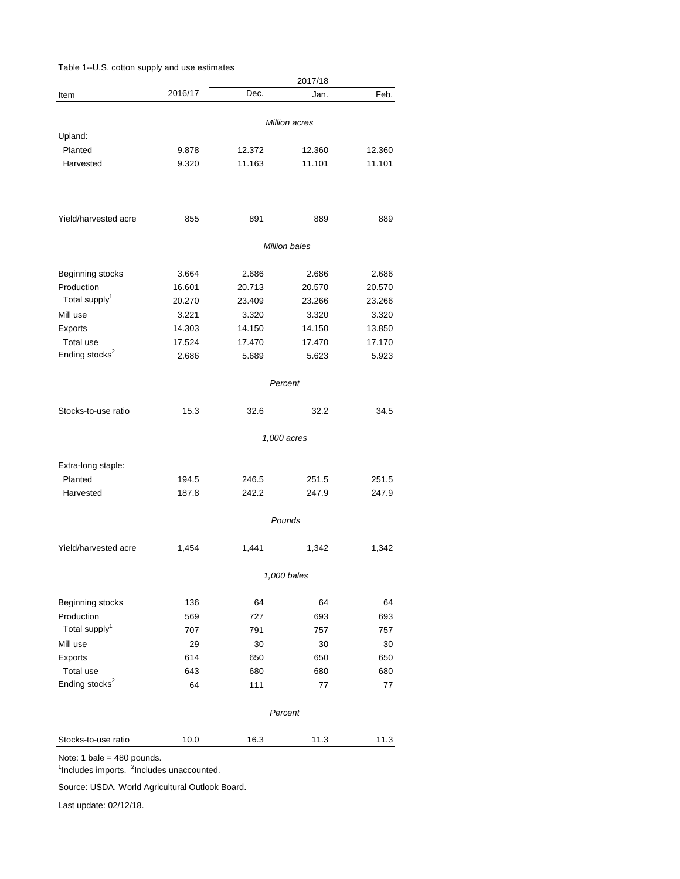<span id="page-1-0"></span>

| Table 1--U.S. cotton supply and use estimates |         |        |               |        |
|-----------------------------------------------|---------|--------|---------------|--------|
|                                               |         |        | 2017/18       |        |
| Item                                          | 2016/17 | Dec.   | Jan.          | Feb.   |
|                                               |         |        |               |        |
| Upland:                                       |         |        | Million acres |        |
| Planted                                       | 9.878   | 12.372 | 12.360        | 12.360 |
| Harvested                                     | 9.320   | 11.163 | 11.101        | 11.101 |
|                                               |         |        |               |        |
| Yield/harvested acre                          | 855     | 891    | 889           | 889    |
|                                               |         |        | Million bales |        |
| Beginning stocks                              | 3.664   | 2.686  | 2.686         | 2.686  |
| Production                                    | 16.601  | 20.713 | 20.570        | 20.570 |
| Total supply <sup>1</sup>                     | 20.270  | 23.409 | 23.266        | 23.266 |
| Mill use                                      | 3.221   | 3.320  | 3.320         | 3.320  |
| Exports                                       | 14.303  | 14.150 | 14.150        | 13.850 |
| Total use                                     | 17.524  | 17.470 | 17.470        | 17.170 |
| Ending stocks <sup>2</sup>                    | 2.686   | 5.689  | 5.623         | 5.923  |
|                                               |         |        |               |        |
|                                               |         |        | Percent       |        |
| Stocks-to-use ratio                           | 15.3    | 32.6   | 32.2          | 34.5   |
|                                               |         |        | 1,000 acres   |        |
| Extra-long staple:                            |         |        |               |        |
| Planted                                       | 194.5   | 246.5  | 251.5         | 251.5  |
| Harvested                                     | 187.8   | 242.2  | 247.9         | 247.9  |
|                                               |         |        |               |        |
|                                               |         |        | Pounds        |        |
| Yield/harvested acre                          | 1,454   | 1,441  | 1,342         | 1,342  |
|                                               |         |        | 1,000 bales   |        |
| Beginning stocks                              | 136     | 64     | 64            | 64     |
| Production                                    | 569     | 727    | 693           | 693    |
| Total supply <sup>1</sup>                     | 707     | 791    | 757           | 757    |
| Mill use                                      | 29      | 30     | 30            | 30     |
| Exports                                       | 614     | 650    | 650           | 650    |
| Total use                                     | 643     | 680    | 680           | 680    |
| Ending stocks <sup>2</sup>                    | 64      | 111    | 77            | 77     |
|                                               |         |        | Percent       |        |
| Stocks-to-use ratio                           | 10.0    | 16.3   | 11.3          | 11.3   |
|                                               |         |        |               |        |

Note: 1 bale = 480 pounds.

<sup>1</sup>Includes imports. <sup>2</sup>Includes unaccounted.

Source: USDA, World Agricultural Outlook Board.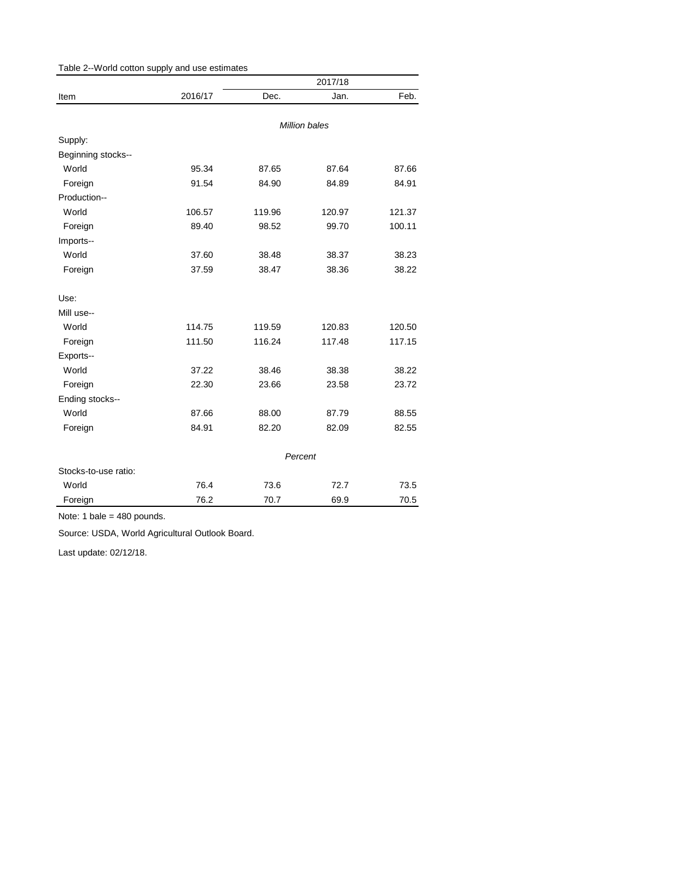<span id="page-2-0"></span>

| Table 2--World cotton supply and use estimates |         |        |               |        |
|------------------------------------------------|---------|--------|---------------|--------|
|                                                |         |        |               |        |
| Item                                           | 2016/17 | Dec.   | Jan.          | Feb.   |
|                                                |         |        |               |        |
|                                                |         |        | Million bales |        |
| Supply:                                        |         |        |               |        |
| Beginning stocks--                             |         |        |               |        |
| World                                          | 95.34   | 87.65  | 87.64         | 87.66  |
| Foreign                                        | 91.54   | 84.90  | 84.89         | 84.91  |
| Production--                                   |         |        |               |        |
| World                                          | 106.57  | 119.96 | 120.97        | 121.37 |
| Foreign                                        | 89.40   | 98.52  | 99.70         | 100.11 |
| Imports--                                      |         |        |               |        |
| World                                          | 37.60   | 38.48  | 38.37         | 38.23  |
| Foreign                                        | 37.59   | 38.47  | 38.36         | 38.22  |
| Use:                                           |         |        |               |        |
| Mill use--                                     |         |        |               |        |
| World                                          | 114.75  | 119.59 | 120.83        | 120.50 |
| Foreign                                        | 111.50  | 116.24 | 117.48        | 117.15 |
| Exports--                                      |         |        |               |        |
| World                                          | 37.22   | 38.46  | 38.38         | 38.22  |
| Foreign                                        | 22.30   | 23.66  | 23.58         | 23.72  |
| Ending stocks--                                |         |        |               |        |
| World                                          | 87.66   | 88.00  | 87.79         | 88.55  |
| Foreign                                        | 84.91   | 82.20  | 82.09         | 82.55  |
|                                                |         |        | Percent       |        |
| Stocks-to-use ratio:                           |         |        |               |        |
| World                                          | 76.4    | 73.6   | 72.7          | 73.5   |
| Foreign                                        | 76.2    | 70.7   | 69.9          | 70.5   |

Note: 1 bale = 480 pounds.

Source: USDA, World Agricultural Outlook Board.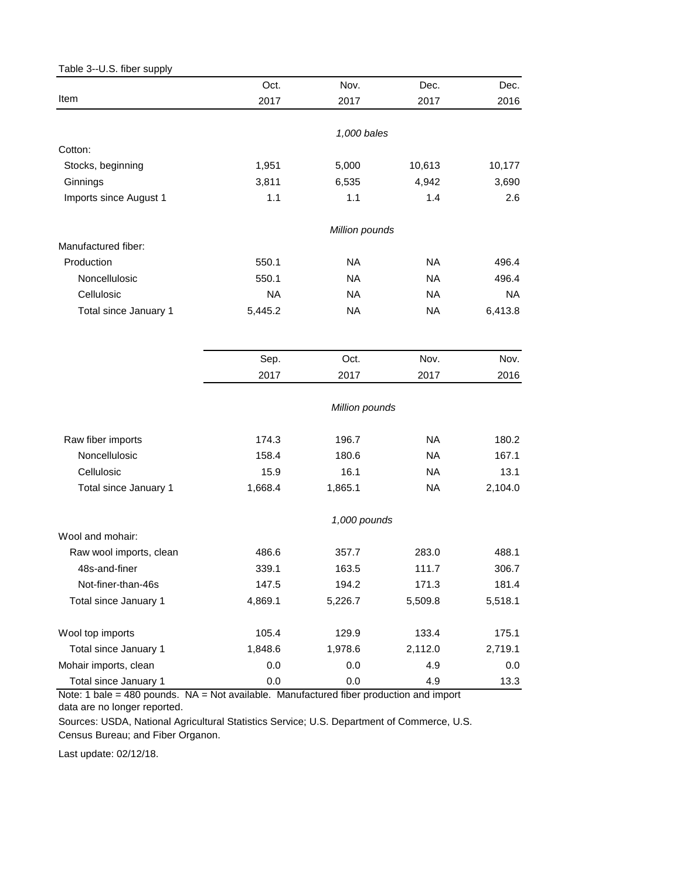<span id="page-3-0"></span>

|                         | Oct.         | Nov.           | Dec.      | Dec.      |  |  |
|-------------------------|--------------|----------------|-----------|-----------|--|--|
| Item                    | 2017         | 2017           | 2017      | 2016      |  |  |
|                         |              |                |           |           |  |  |
|                         |              | 1,000 bales    |           |           |  |  |
| Cotton:                 |              |                |           |           |  |  |
| Stocks, beginning       | 1,951        | 5,000          | 10,613    | 10,177    |  |  |
| Ginnings                | 3,811        | 6,535          | 4,942     | 3,690     |  |  |
| Imports since August 1  | 1.1          | 1.1            | 1.4       | 2.6       |  |  |
|                         |              | Million pounds |           |           |  |  |
| Manufactured fiber:     |              |                |           |           |  |  |
| Production              | 550.1        | <b>NA</b>      | <b>NA</b> | 496.4     |  |  |
| Noncellulosic           | 550.1        | <b>NA</b>      | <b>NA</b> | 496.4     |  |  |
| Cellulosic              | <b>NA</b>    | <b>NA</b>      | <b>NA</b> | <b>NA</b> |  |  |
| Total since January 1   | 5,445.2      | <b>NA</b>      | <b>NA</b> | 6,413.8   |  |  |
|                         |              |                |           |           |  |  |
|                         | Sep.         | Oct.           | Nov.      | Nov.      |  |  |
|                         | 2017         | 2017           | 2017      | 2016      |  |  |
|                         |              | Million pounds |           |           |  |  |
| Raw fiber imports       | 174.3        | 196.7          | <b>NA</b> | 180.2     |  |  |
| Noncellulosic           | 158.4        | 180.6          | <b>NA</b> | 167.1     |  |  |
| Cellulosic              | 15.9         | 16.1           | <b>NA</b> | 13.1      |  |  |
| Total since January 1   | 1,668.4      | 1,865.1        | <b>NA</b> | 2,104.0   |  |  |
|                         | 1,000 pounds |                |           |           |  |  |
| Wool and mohair:        |              |                |           |           |  |  |
| Raw wool imports, clean | 486.6        | 357.7          | 283.0     | 488.1     |  |  |
| 48s-and-finer           | 339.1        | 163.5          | 111.7     | 306.7     |  |  |
| Not-finer-than-46s      | 147.5        | 194.2          | 171.3     | 181.4     |  |  |
| Total since January 1   | 4,869.1      | 5,226.7        | 5,509.8   | 5,518.1   |  |  |
| Wool top imports        | 105.4        | 129.9          | 133.4     | 175.1     |  |  |
| Total since January 1   | 1,848.6      | 1,978.6        | 2,112.0   | 2,719.1   |  |  |
| Mohair imports, clean   | 0.0          | 0.0            | 4.9       | 0.0       |  |  |
| Total since January 1   | 0.0          | 0.0            | 4.9       | 13.3      |  |  |

Note: 1 bale = 480 pounds. NA = Not available. Manufactured fiber production and import data are no longer reported.

Sources: USDA, National Agricultural Statistics Service; U.S. Department of Commerce, U.S. Census Bureau; and Fiber Organon.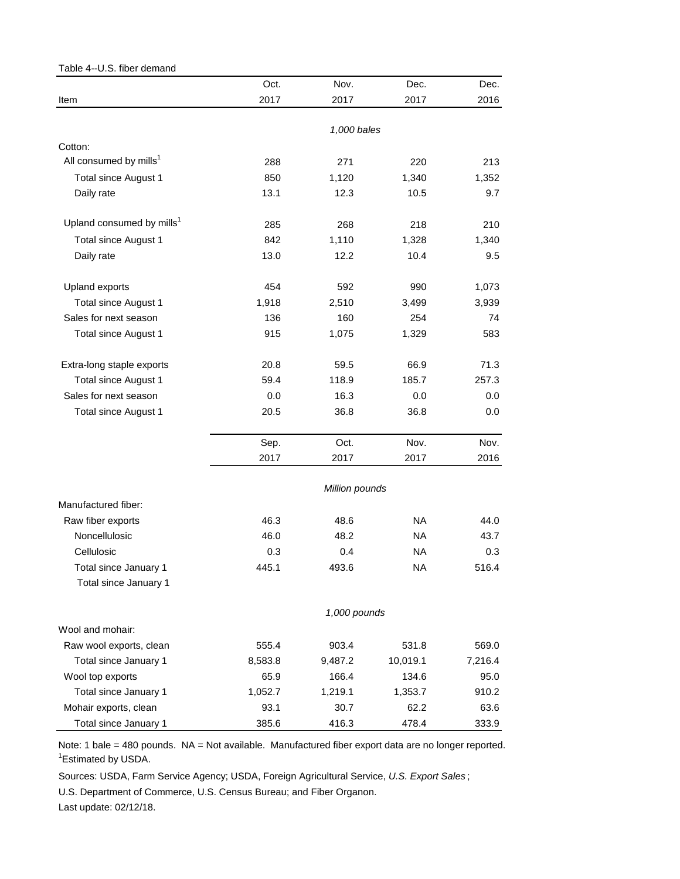## <span id="page-4-0"></span>Table 4--U.S. fiber demand

|                                               | Oct.    | Nov.           | Dec.      | Dec.    |
|-----------------------------------------------|---------|----------------|-----------|---------|
| Item                                          | 2017    | 2017           | 2017      | 2016    |
|                                               |         |                |           |         |
|                                               |         | 1,000 bales    |           |         |
| Cotton:<br>All consumed by mills <sup>1</sup> |         |                |           |         |
|                                               | 288     | 271            | 220       | 213     |
| Total since August 1                          | 850     | 1,120          | 1,340     | 1,352   |
| Daily rate                                    | 13.1    | 12.3           | 10.5      | 9.7     |
| Upland consumed by mills <sup>1</sup>         | 285     | 268            | 218       | 210     |
| Total since August 1                          | 842     | 1,110          | 1,328     | 1,340   |
| Daily rate                                    | 13.0    | 12.2           | 10.4      | 9.5     |
| <b>Upland exports</b>                         | 454     | 592            | 990       | 1,073   |
| Total since August 1                          | 1,918   | 2,510          | 3,499     | 3,939   |
| Sales for next season                         | 136     | 160            | 254       | 74      |
| Total since August 1                          | 915     | 1,075          | 1,329     | 583     |
| Extra-long staple exports                     | 20.8    | 59.5           | 66.9      | 71.3    |
| Total since August 1                          | 59.4    | 118.9          | 185.7     | 257.3   |
| Sales for next season                         | 0.0     | 16.3           | 0.0       | 0.0     |
| Total since August 1                          | 20.5    | 36.8           | 36.8      | 0.0     |
|                                               | Sep.    | Oct.           | Nov.      | Nov.    |
|                                               | 2017    | 2017           | 2017      | 2016    |
|                                               |         |                |           |         |
|                                               |         | Million pounds |           |         |
| Manufactured fiber:                           |         |                |           |         |
| Raw fiber exports                             | 46.3    | 48.6           | NA.       | 44.0    |
| Noncellulosic                                 | 46.0    | 48.2           | <b>NA</b> | 43.7    |
| Cellulosic                                    | 0.3     | 0.4            | <b>NA</b> | 0.3     |
| Total since January 1                         | 445.1   | 493.6          | NA        | 516.4   |
| Total since January 1                         |         |                |           |         |
|                                               |         | 1,000 pounds   |           |         |
| Wool and mohair:                              |         |                |           |         |
| Raw wool exports, clean                       | 555.4   | 903.4          | 531.8     | 569.0   |
| Total since January 1                         | 8,583.8 | 9,487.2        | 10,019.1  | 7,216.4 |
| Wool top exports                              | 65.9    | 166.4          | 134.6     | 95.0    |
| Total since January 1                         | 1,052.7 | 1,219.1        | 1,353.7   | 910.2   |
| Mohair exports, clean                         | 93.1    | 30.7           | 62.2      | 63.6    |
| Total since January 1                         | 385.6   | 416.3          | 478.4     | 333.9   |

Note: 1 bale = 480 pounds. NA = Not available. Manufactured fiber export data are no longer reported. <sup>1</sup> Estimated by USDA.

Sources: USDA, Farm Service Agency; USDA, Foreign Agricultural Service, *U.S. Export Sales* ;

U.S. Department of Commerce, U.S. Census Bureau; and Fiber Organon.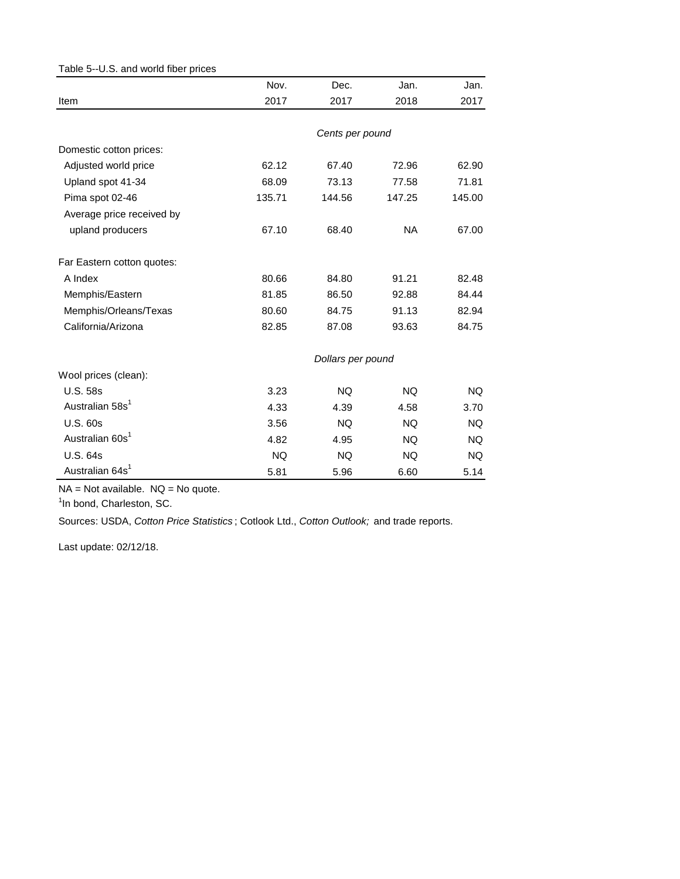<span id="page-5-0"></span>

| Table 5--U.S. and world fiber prices |           |                   |           |           |
|--------------------------------------|-----------|-------------------|-----------|-----------|
|                                      | Nov.      | Dec.              | Jan.      | Jan.      |
| Item                                 | 2017      | 2017              | 2018      | 2017      |
|                                      |           |                   |           |           |
|                                      |           | Cents per pound   |           |           |
| Domestic cotton prices:              |           |                   |           |           |
| Adjusted world price                 | 62.12     | 67.40             | 72.96     | 62.90     |
| Upland spot 41-34                    | 68.09     | 73.13             | 77.58     | 71.81     |
| Pima spot 02-46                      | 135.71    | 144.56            | 147.25    | 145.00    |
| Average price received by            |           |                   |           |           |
| upland producers                     | 67.10     | 68.40             | <b>NA</b> | 67.00     |
| Far Eastern cotton quotes:           |           |                   |           |           |
| A Index                              | 80.66     | 84.80             | 91.21     | 82.48     |
| Memphis/Eastern                      | 81.85     | 86.50             | 92.88     | 84.44     |
| Memphis/Orleans/Texas                | 80.60     | 84.75             | 91.13     | 82.94     |
| California/Arizona                   | 82.85     | 87.08             | 93.63     | 84.75     |
|                                      |           | Dollars per pound |           |           |
| Wool prices (clean):                 |           |                   |           |           |
| <b>U.S. 58s</b>                      | 3.23      | <b>NQ</b>         | <b>NQ</b> | NQ.       |
| Australian 58s <sup>1</sup>          | 4.33      | 4.39              | 4.58      | 3.70      |
| <b>U.S. 60s</b>                      | 3.56      | <b>NQ</b>         | <b>NQ</b> | <b>NQ</b> |
| Australian 60s <sup>1</sup>          | 4.82      | 4.95              | <b>NQ</b> | NQ.       |
| <b>U.S. 64s</b>                      | <b>NQ</b> | <b>NQ</b>         | NQ.       | NQ.       |
| Australian 64s <sup>1</sup>          | 5.81      | 5.96              | 6.60      | 5.14      |

 $NA = Not available.$   $NQ = No$  quote.

<sup>1</sup>In bond, Charleston, SC.

Sources: USDA, *Cotton Price Statistics* ; Cotlook Ltd., *Cotton Outlook;* and trade reports.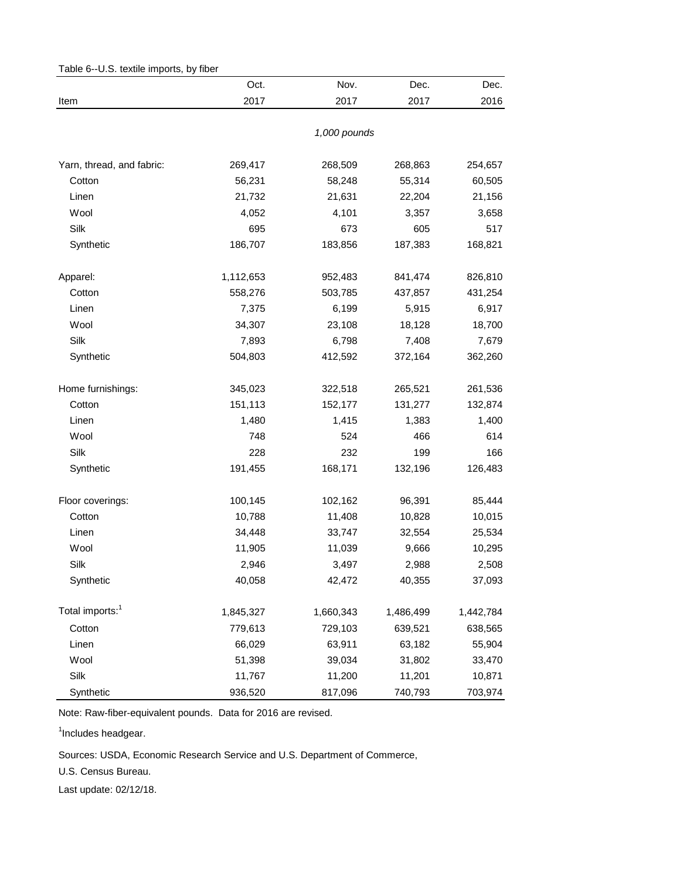| rable u-o.o. textile litipuris, by liber | Oct.      | Nov.         | Dec.      | Dec.      |
|------------------------------------------|-----------|--------------|-----------|-----------|
| Item                                     | 2017      | 2017         | 2017      | 2016      |
|                                          |           |              |           |           |
|                                          |           | 1,000 pounds |           |           |
| Yarn, thread, and fabric:                | 269,417   | 268,509      | 268,863   | 254,657   |
| Cotton                                   | 56,231    | 58,248       | 55,314    | 60,505    |
| Linen                                    | 21,732    | 21,631       | 22,204    | 21,156    |
| Wool                                     | 4,052     | 4,101        | 3,357     | 3,658     |
| Silk                                     | 695       | 673          | 605       | 517       |
| Synthetic                                | 186,707   | 183,856      | 187,383   | 168,821   |
| Apparel:                                 | 1,112,653 | 952,483      | 841,474   | 826,810   |
| Cotton                                   | 558,276   | 503,785      | 437,857   | 431,254   |
| Linen                                    | 7,375     | 6,199        | 5,915     | 6,917     |
| Wool                                     | 34,307    | 23,108       | 18,128    | 18,700    |
| Silk                                     | 7,893     | 6,798        | 7,408     | 7,679     |
| Synthetic                                | 504,803   | 412,592      | 372,164   | 362,260   |
| Home furnishings:                        | 345,023   | 322,518      | 265,521   | 261,536   |
| Cotton                                   | 151,113   | 152,177      | 131,277   | 132,874   |
| Linen                                    | 1,480     | 1,415        | 1,383     | 1,400     |
| Wool                                     | 748       | 524          | 466       | 614       |
| Silk                                     | 228       | 232          | 199       | 166       |
| Synthetic                                | 191,455   | 168,171      | 132,196   | 126,483   |
| Floor coverings:                         | 100,145   | 102,162      | 96,391    | 85,444    |
| Cotton                                   | 10,788    | 11,408       | 10,828    | 10,015    |
| Linen                                    | 34,448    | 33,747       | 32,554    | 25,534    |
| Wool                                     | 11,905    | 11,039       | 9,666     | 10,295    |
| Silk                                     | 2,946     | 3,497        | 2,988     | 2,508     |
| Synthetic                                | 40,058    | 42,472       | 40,355    | 37,093    |
| Total imports: <sup>1</sup>              | 1,845,327 | 1,660,343    | 1,486,499 | 1,442,784 |
| Cotton                                   | 779,613   | 729,103      | 639,521   | 638,565   |
| Linen                                    | 66,029    | 63,911       | 63,182    | 55,904    |
| Wool                                     | 51,398    | 39,034       | 31,802    | 33,470    |
| Silk                                     | 11,767    | 11,200       | 11,201    | 10,871    |
| Synthetic                                | 936,520   | 817,096      | 740,793   | 703,974   |

<span id="page-6-0"></span>Table 6--U.S. textile imports, by fiber

Note: Raw-fiber-equivalent pounds. Data for 2016 are revised.

<sup>1</sup>Includes headgear.

Sources: USDA, Economic Research Service and U.S. Department of Commerce,

U.S. Census Bureau.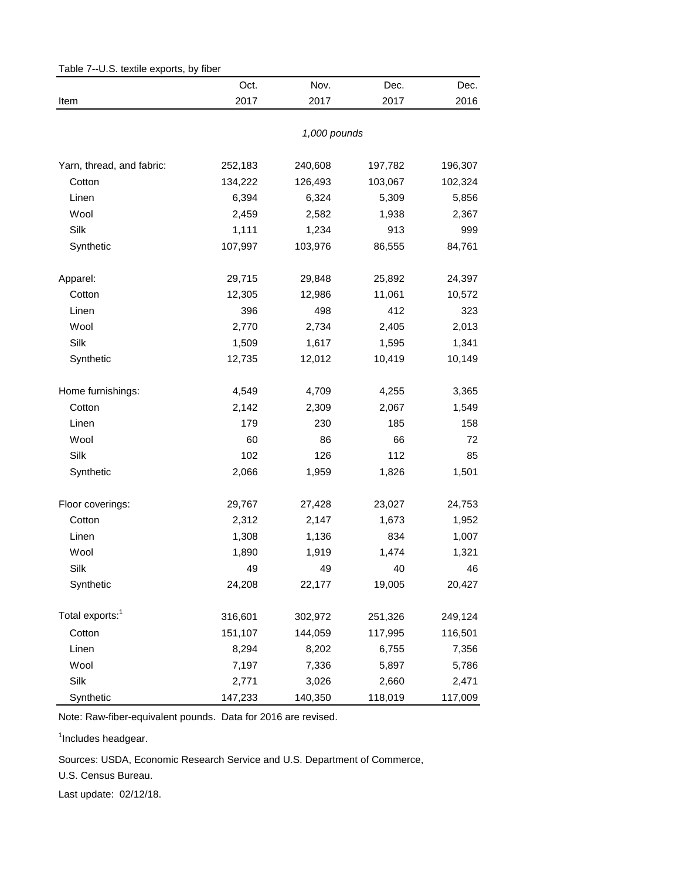<span id="page-7-0"></span>

| Table 7--U.S. textile exports, by fiber |         |              |         |         |  |
|-----------------------------------------|---------|--------------|---------|---------|--|
|                                         | Oct.    | Nov.         | Dec.    | Dec.    |  |
| Item                                    | 2017    | 2017         | 2017    | 2016    |  |
|                                         |         | 1,000 pounds |         |         |  |
| Yarn, thread, and fabric:               | 252,183 | 240,608      | 197,782 | 196,307 |  |
| Cotton                                  | 134,222 | 126,493      | 103,067 | 102,324 |  |
| Linen                                   | 6,394   | 6,324        | 5,309   | 5,856   |  |
| Wool                                    | 2,459   | 2,582        | 1,938   | 2,367   |  |
| Silk                                    | 1,111   | 1,234        | 913     | 999     |  |
| Synthetic                               | 107,997 | 103,976      | 86,555  | 84,761  |  |
| Apparel:                                | 29,715  | 29,848       | 25,892  | 24,397  |  |
| Cotton                                  | 12,305  | 12,986       | 11,061  | 10,572  |  |
| Linen                                   | 396     | 498          | 412     | 323     |  |
| Wool                                    | 2,770   | 2,734        | 2,405   | 2,013   |  |
| Silk                                    | 1,509   | 1,617        | 1,595   | 1,341   |  |
| Synthetic                               | 12,735  | 12,012       | 10,419  | 10,149  |  |
| Home furnishings:                       | 4,549   | 4,709        | 4,255   | 3,365   |  |
| Cotton                                  | 2,142   | 2,309        | 2,067   | 1,549   |  |
| Linen                                   | 179     | 230          | 185     | 158     |  |
| Wool                                    | 60      | 86           | 66      | 72      |  |
| Silk                                    | 102     | 126          | 112     | 85      |  |
| Synthetic                               | 2,066   | 1,959        | 1,826   | 1,501   |  |
| Floor coverings:                        | 29,767  | 27,428       | 23,027  | 24,753  |  |
| Cotton                                  | 2,312   | 2,147        | 1,673   | 1,952   |  |
| Linen                                   | 1,308   | 1,136        | 834     | 1,007   |  |
| Wool                                    | 1,890   | 1,919        | 1,474   | 1,321   |  |
| Silk                                    | 49      | 49           | 40      | 46      |  |
| Synthetic                               | 24,208  | 22,177       | 19,005  | 20,427  |  |
| Total exports: <sup>1</sup>             | 316,601 | 302,972      | 251,326 | 249,124 |  |
| Cotton                                  | 151,107 | 144,059      | 117,995 | 116,501 |  |
| Linen                                   | 8,294   | 8,202        | 6,755   | 7,356   |  |
| Wool                                    | 7,197   | 7,336        | 5,897   | 5,786   |  |
| Silk                                    | 2,771   | 3,026        | 2,660   | 2,471   |  |
| Synthetic                               | 147,233 | 140,350      | 118,019 | 117,009 |  |

Note: Raw-fiber-equivalent pounds. Data for 2016 are revised.

<sup>1</sup>Includes headgear.

Sources: USDA, Economic Research Service and U.S. Department of Commerce,

U.S. Census Bureau.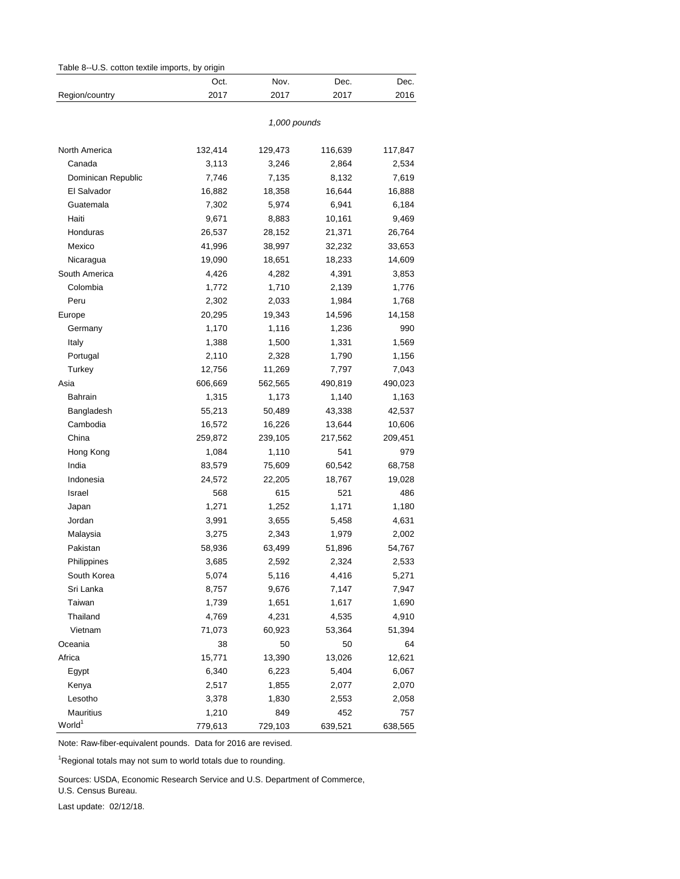<span id="page-8-0"></span>

|                    | Oct.    | Nov.         | Dec.    | Dec.    |
|--------------------|---------|--------------|---------|---------|
| Region/country     | 2017    | 2017         | 2017    | 2016    |
|                    |         |              |         |         |
|                    |         | 1,000 pounds |         |         |
| North America      | 132,414 | 129,473      | 116,639 | 117,847 |
| Canada             | 3,113   | 3,246        | 2,864   | 2,534   |
| Dominican Republic | 7,746   | 7,135        | 8,132   | 7,619   |
| El Salvador        | 16,882  | 18,358       | 16,644  | 16,888  |
| Guatemala          | 7,302   | 5,974        | 6,941   | 6,184   |
| Haiti              | 9,671   | 8,883        | 10,161  | 9,469   |
| Honduras           | 26,537  | 28,152       | 21,371  | 26,764  |
| Mexico             | 41,996  | 38,997       | 32,232  | 33,653  |
| Nicaragua          | 19,090  | 18,651       | 18,233  | 14,609  |
| South America      | 4,426   | 4,282        | 4,391   | 3,853   |
| Colombia           | 1,772   | 1,710        | 2,139   | 1,776   |
| Peru               | 2,302   | 2,033        | 1,984   | 1,768   |
| Europe             | 20,295  | 19,343       | 14,596  | 14,158  |
| Germany            | 1,170   | 1,116        | 1,236   | 990     |
| Italy              | 1,388   | 1,500        | 1,331   | 1,569   |
| Portugal           | 2,110   | 2,328        | 1,790   | 1,156   |
| Turkey             | 12,756  | 11,269       | 7,797   | 7,043   |
| Asia               | 606,669 | 562,565      | 490,819 | 490,023 |
| Bahrain            | 1,315   | 1,173        | 1,140   | 1,163   |
| Bangladesh         | 55,213  | 50,489       | 43,338  | 42,537  |
| Cambodia           | 16,572  | 16,226       | 13,644  | 10,606  |
| China              | 259,872 | 239,105      | 217,562 | 209,451 |
| Hong Kong          | 1,084   | 1,110        | 541     | 979     |
| India              | 83,579  | 75,609       | 60,542  | 68,758  |
| Indonesia          | 24,572  | 22,205       | 18,767  | 19,028  |
| Israel             | 568     | 615          | 521     | 486     |
| Japan              | 1,271   | 1,252        | 1,171   | 1,180   |
| Jordan             | 3,991   | 3,655        | 5,458   | 4,631   |
| Malaysia           | 3,275   | 2,343        | 1,979   | 2,002   |
| Pakistan           | 58,936  | 63,499       | 51,896  | 54,767  |
| Philippines        | 3,685   | 2,592        | 2,324   | 2,533   |
| South Korea        | 5,074   | 5,116        | 4,416   | 5,271   |
| Sri Lanka          | 8,757   | 9,676        | 7,147   | 7,947   |
| Taiwan             | 1,739   | 1,651        | 1,617   | 1,690   |
| Thailand           | 4,769   | 4,231        | 4,535   | 4,910   |
| Vietnam            | 71,073  | 60,923       | 53,364  | 51,394  |
| Oceania            | 38      | 50           | 50      | 64      |
| Africa             | 15,771  | 13,390       | 13,026  | 12,621  |
| Egypt              | 6,340   | 6,223        | 5,404   | 6,067   |
| Kenya              | 2,517   | 1,855        | 2,077   | 2,070   |
| Lesotho            | 3,378   | 1,830        | 2,553   | 2,058   |
| Mauritius          | 1,210   | 849          | 452     | 757     |
| World <sup>1</sup> | 779,613 | 729,103      | 639,521 | 638,565 |

Note: Raw-fiber-equivalent pounds. Data for 2016 are revised.

<sup>1</sup>Regional totals may not sum to world totals due to rounding.

Sources: USDA, Economic Research Service and U.S. Department of Commerce,

U.S. Census Bureau.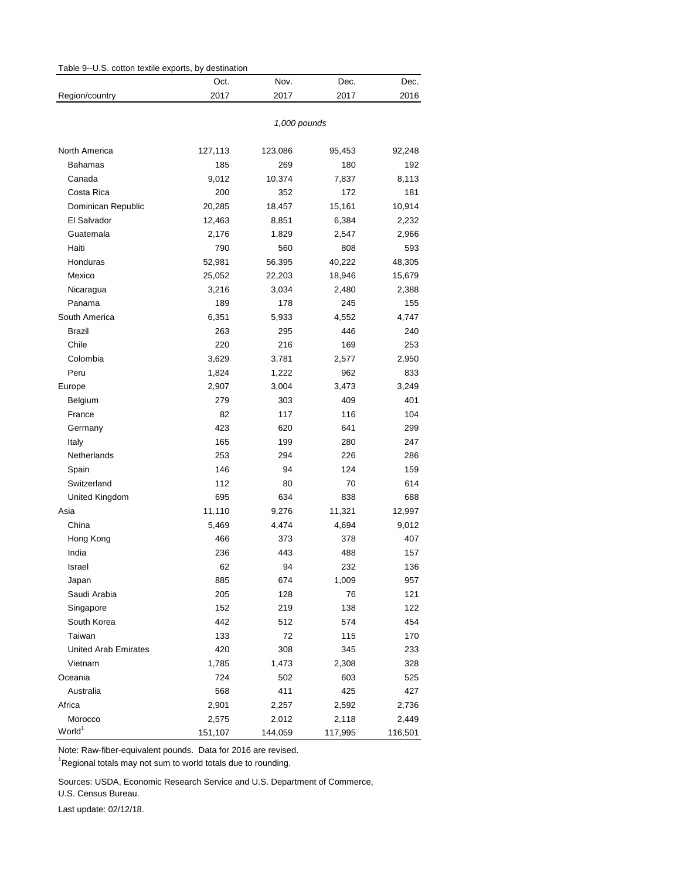<span id="page-9-0"></span>

| Table 9--U.S. cotton textile exports, by destination |              |         |         |         |  |  |
|------------------------------------------------------|--------------|---------|---------|---------|--|--|
|                                                      | Oct.         | Nov.    | Dec.    | Dec.    |  |  |
| Region/country                                       | 2017         | 2017    | 2017    | 2016    |  |  |
|                                                      | 1,000 pounds |         |         |         |  |  |
| North America                                        | 127,113      | 123,086 | 95,453  | 92,248  |  |  |
| Bahamas                                              | 185          | 269     | 180     | 192     |  |  |
| Canada                                               | 9,012        | 10,374  | 7,837   | 8,113   |  |  |
| Costa Rica                                           | 200          | 352     | 172     | 181     |  |  |
| Dominican Republic                                   | 20,285       | 18,457  | 15,161  | 10,914  |  |  |
| El Salvador                                          | 12,463       | 8,851   | 6,384   | 2,232   |  |  |
| Guatemala                                            | 2,176        | 1,829   | 2,547   | 2,966   |  |  |
| Haiti                                                | 790          | 560     | 808     | 593     |  |  |
| Honduras                                             | 52,981       | 56,395  | 40,222  | 48,305  |  |  |
| Mexico                                               | 25,052       | 22,203  | 18,946  | 15,679  |  |  |
| Nicaragua                                            | 3,216        | 3,034   | 2,480   | 2,388   |  |  |
| Panama                                               | 189          | 178     | 245     | 155     |  |  |
| South America                                        | 6,351        | 5,933   | 4,552   | 4,747   |  |  |
| Brazil                                               | 263          | 295     | 446     | 240     |  |  |
| Chile                                                | 220          | 216     | 169     | 253     |  |  |
| Colombia                                             | 3,629        | 3,781   | 2,577   | 2,950   |  |  |
| Peru                                                 | 1,824        | 1,222   | 962     | 833     |  |  |
| Europe                                               | 2,907        | 3,004   | 3,473   | 3,249   |  |  |
| Belgium                                              | 279          | 303     | 409     | 401     |  |  |
| France                                               | 82           | 117     | 116     | 104     |  |  |
| Germany                                              | 423          | 620     | 641     | 299     |  |  |
| Italy                                                | 165          | 199     | 280     | 247     |  |  |
| Netherlands                                          | 253          | 294     | 226     | 286     |  |  |
| Spain                                                | 146          | 94      | 124     | 159     |  |  |
| Switzerland                                          | 112          | 80      | 70      | 614     |  |  |
| United Kingdom                                       | 695          | 634     | 838     | 688     |  |  |
| Asia                                                 | 11,110       | 9,276   | 11,321  | 12,997  |  |  |
| China                                                | 5,469        | 4,474   | 4,694   | 9,012   |  |  |
| Hong Kong                                            | 466          | 373     | 378     | 407     |  |  |
| India                                                | 236          | 443     | 488     | 157     |  |  |
| Israel                                               | 62           | 94      | 232     | 136     |  |  |
| Japan                                                | 885          | 674     | 1,009   | 957     |  |  |
| Saudi Arabia                                         | 205          | 128     | 76      | 121     |  |  |
| Singapore                                            | 152          | 219     | 138     | 122     |  |  |
| South Korea                                          | 442          | 512     | 574     | 454     |  |  |
| Taiwan                                               | 133          | 72      | 115     | 170     |  |  |
| <b>United Arab Emirates</b>                          | 420          | 308     | 345     | 233     |  |  |
| Vietnam                                              | 1,785        | 1,473   | 2,308   | 328     |  |  |
| Oceania                                              | 724          | 502     | 603     | 525     |  |  |
| Australia                                            | 568          | 411     | 425     | 427     |  |  |
| Africa                                               | 2,901        | 2,257   | 2,592   | 2,736   |  |  |
| Morocco                                              | 2,575        | 2,012   | 2,118   | 2,449   |  |  |
| World <sup>1</sup>                                   | 151,107      | 144,059 | 117,995 | 116,501 |  |  |

Note: Raw-fiber-equivalent pounds. Data for 2016 are revised.

<sup>1</sup>Regional totals may not sum to world totals due to rounding.

Sources: USDA, Economic Research Service and U.S. Department of Commerce,

U.S. Census Bureau.